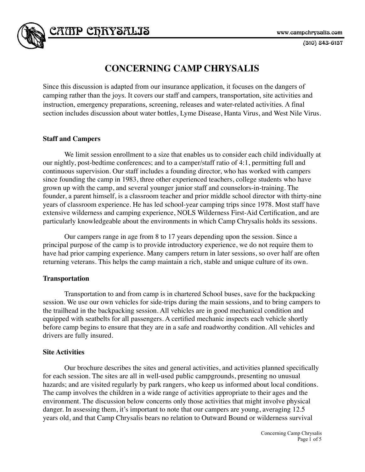$(510)$  843-6157

# **CONCERNING CAMP CHRYSALIS**

Since this discussion is adapted from our insurance application, it focuses on the dangers of camping rather than the joys. It covers our staff and campers, transportation, site activities and instruction, emergency preparations, screening, releases and water-related activities. A final section includes discussion about water bottles, Lyme Disease, Hanta Virus, and West Nile Virus.

# **Staff and Campers**

CATIP CFRYSALIS

We limit session enrollment to a size that enables us to consider each child individually at our nightly, post-bedtime conferences; and to a camper/staff ratio of 4:1, permitting full and continuous supervision. Our staff includes a founding director, who has worked with campers since founding the camp in 1983, three other experienced teachers, college students who have grown up with the camp, and several younger junior staff and counselors-in-training. The founder, a parent himself, is a classroom teacher and prior middle school director with thirty-nine years of classroom experience. He has led school-year camping trips since 1978. Most staff have extensive wilderness and camping experience, NOLS Wilderness First-Aid Certification, and are particularly knowledgeable about the environments in which Camp Chrysalis holds its sessions.

Our campers range in age from 8 to 17 years depending upon the session. Since a principal purpose of the camp is to provide introductory experience, we do not require them to have had prior camping experience. Many campers return in later sessions, so over half are often returning veterans. This helps the camp maintain a rich, stable and unique culture of its own.

## **Transportation**

Transportation to and from camp is in chartered School buses, save for the backpacking session. We use our own vehicles for side-trips during the main sessions, and to bring campers to the trailhead in the backpacking session. All vehicles are in good mechanical condition and equipped with seatbelts for all passengers. A certified mechanic inspects each vehicle shortly before camp begins to ensure that they are in a safe and roadworthy condition. All vehicles and drivers are fully insured.

## **Site Activities**

Our brochure describes the sites and general activities, and activities planned specifically for each session. The sites are all in well-used public campgrounds, presenting no unusual hazards; and are visited regularly by park rangers, who keep us informed about local conditions. The camp involves the children in a wide range of activities appropriate to their ages and the environment. The discussion below concerns only those activities that might involve physical danger. In assessing them, it's important to note that our campers are young, averaging 12.5 years old, and that Camp Chrysalis bears no relation to Outward Bound or wilderness survival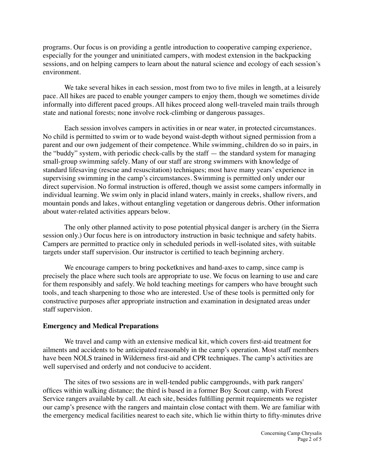programs. Our focus is on providing a gentle introduction to cooperative camping experience, especially for the younger and uninitiated campers, with modest extension in the backpacking sessions, and on helping campers to learn about the natural science and ecology of each session's environment.

We take several hikes in each session, most from two to five miles in length, at a leisurely pace. All hikes are paced to enable younger campers to enjoy them, though we sometimes divide informally into different paced groups. All hikes proceed along well-traveled main trails through state and national forests; none involve rock-climbing or dangerous passages.

Each session involves campers in activities in or near water, in protected circumstances. No child is permitted to swim or to wade beyond waist-depth without signed permission from a parent and our own judgement of their competence. While swimming, children do so in pairs, in the "buddy" system, with periodic check-calls by the staff — the standard system for managing small-group swimming safely. Many of our staff are strong swimmers with knowledge of standard lifesaving (rescue and resuscitation) techniques; most have many years' experience in supervising swimming in the camp's circumstances. Swimming is permitted only under our direct supervision. No formal instruction is offered, though we assist some campers informally in individual learning. We swim only in placid inland waters, mainly in creeks, shallow rivers, and mountain ponds and lakes, without entangling vegetation or dangerous debris. Other information about water-related activities appears below.

The only other planned activity to pose potential physical danger is archery (in the Sierra session only.) Our focus here is on introductory instruction in basic technique and safety habits. Campers are permitted to practice only in scheduled periods in well-isolated sites, with suitable targets under staff supervision. Our instructor is certified to teach beginning archery.

We encourage campers to bring pocketknives and hand-axes to camp, since camp is precisely the place where such tools are appropriate to use. We focus on learning to use and care for them responsibly and safely. We hold teaching meetings for campers who have brought such tools, and teach sharpening to those who are interested. Use of these tools is permitted only for constructive purposes after appropriate instruction and examination in designated areas under staff supervision.

## **Emergency and Medical Preparations**

We travel and camp with an extensive medical kit, which covers first-aid treatment for ailments and accidents to be anticipated reasonably in the camp's operation. Most staff members have been NOLS trained in Wilderness first-aid and CPR techniques. The camp's activities are well supervised and orderly and not conducive to accident.

The sites of two sessions are in well-tended public campgrounds, with park rangers' offices within walking distance; the third is based in a former Boy Scout camp, with Forest Service rangers available by call. At each site, besides fulfilling permit requirements we register our camp's presence with the rangers and maintain close contact with them. We are familiar with the emergency medical facilities nearest to each site, which lie within thirty to fifty-minutes drive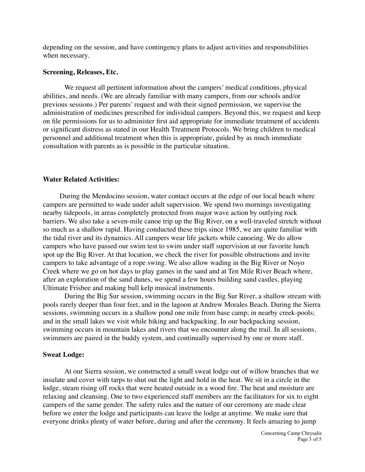depending on the session, and have contingency plans to adjust activities and responsibilities when necessary.

#### **Screening, Releases, Etc.**

We request all pertinent information about the campers' medical conditions, physical abilities, and needs. (We are already familiar with many campers, from our schools and/or previous sessions.) Per parents' request and with their signed permission, we supervise the administration of medicines prescribed for individual campers. Beyond this, we request and keep on file permissions for us to administer first aid appropriate for immediate treatment of accidents or significant distress as stated in our Health Treatment Protocols. We bring children to medical personnel and additional treatment when this is appropriate, guided by as much immediate consultation with parents as is possible in the particular situation.

#### **Water Related Activities:**

During the Mendocino session, water contact occurs at the edge of our local beach where campers are permitted to wade under adult supervision. We spend two mornings investigating nearby tidepools, in areas completely protected from major wave action by outlying rock barriers. We also take a seven-mile canoe trip up the Big River, on a well-traveled stretch without so much as a shallow rapid. Having conducted these trips since 1985, we are quite familiar with the tidal river and its dynamics. All campers wear life jackets while canoeing. We do allow campers who have passed our swim test to swim under staff supervision at our favorite lunch spot up the Big River. At that location, we check the river for possible obstructions and invite campers to take advantage of a rope swing. We also allow wading in the Big River or Noyo Creek where we go on hot days to play games in the sand and at Ten Mile River Beach where, after an exploration of the sand dunes, we spend a few hours building sand castles, playing Ultimate Frisbee and making bull kelp musical instruments.

During the Big Sur session, swimming occurs in the Big Sur River, a shallow stream with pools rarely deeper than four feet, and in the lagoon at Andrew Morales Beach. During the Sierra sessions, swimming occurs in a shallow pond one mile from base camp; in nearby creek-pools; and in the small lakes we visit while hiking and backpacking. In our backpacking session, swimming occurs in mountain lakes and rivers that we encounter along the trail. In all sessions, swimmers are paired in the buddy system, and continually supervised by one or more staff.

#### **Sweat Lodge:**

At our Sierra session, we constructed a small sweat lodge out of willow branches that we insulate and cover with tarps to shut out the light and hold in the heat. We sit in a circle in the lodge, steam rising off rocks that were heated outside in a wood fire. The heat and moisture are relaxing and cleansing. One to two experienced staff members are the facilitators for six to eight campers of the same gender. The safety rules and the nature of our ceremony are made clear before we enter the lodge and participants can leave the lodge at anytime. We make sure that everyone drinks plenty of water before, during and after the ceremony. It feels amazing to jump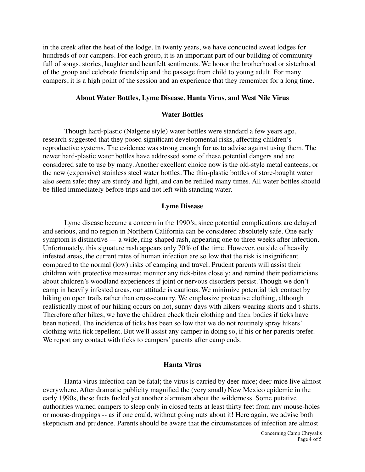in the creek after the heat of the lodge. In twenty years, we have conducted sweat lodges for hundreds of our campers. For each group, it is an important part of our building of community full of songs, stories, laughter and heartfelt sentiments. We honor the brotherhood or sisterhood of the group and celebrate friendship and the passage from child to young adult. For many campers, it is a high point of the session and an experience that they remember for a long time.

#### **About Water Bottles, Lyme Disease, Hanta Virus, and West Nile Virus**

#### **Water Bottles**

Though hard-plastic (Nalgene style) water bottles were standard a few years ago, research suggested that they posed significant developmental risks, affecting children's reproductive systems. The evidence was strong enough for us to advise against using them. The newer hard-plastic water bottles have addressed some of these potential dangers and are considered safe to use by many. Another excellent choice now is the old-style metal canteens, or the new (expensive) stainless steel water bottles. The thin-plastic bottles of store-bought water also seem safe; they are sturdy and light, and can be refilled many times. All water bottles should be filled immediately before trips and not left with standing water.

#### **Lyme Disease**

Lyme disease became a concern in the 1990's, since potential complications are delayed and serious, and no region in Northern California can be considered absolutely safe. One early symptom is distinctive — a wide, ring-shaped rash, appearing one to three weeks after infection. Unfortunately, this signature rash appears only 70% of the time. However, outside of heavily infested areas, the current rates of human infection are so low that the risk is insignificant compared to the normal (low) risks of camping and travel. Prudent parents will assist their children with protective measures; monitor any tick-bites closely; and remind their pediatricians about children's woodland experiences if joint or nervous disorders persist. Though we don't camp in heavily infested areas, our attitude is cautious. We minimize potential tick contact by hiking on open trails rather than cross-country. We emphasize protective clothing, although realistically most of our hiking occurs on hot, sunny days with hikers wearing shorts and t-shirts. Therefore after hikes, we have the children check their clothing and their bodies if ticks have been noticed. The incidence of ticks has been so low that we do not routinely spray hikers' clothing with tick repellent. But we'll assist any camper in doing so, if his or her parents prefer. We report any contact with ticks to campers' parents after camp ends.

# **Hanta Virus**

Hanta virus infection can be fatal; the virus is carried by deer-mice; deer-mice live almost everywhere. After dramatic publicity magnified the (very small) New Mexico epidemic in the early 1990s, these facts fueled yet another alarmism about the wilderness. Some putative authorities warned campers to sleep only in closed tents at least thirty feet from any mouse-holes or mouse-droppings -- as if one could, without going nuts about it! Here again, we advise both skepticism and prudence. Parents should be aware that the circumstances of infection are almost